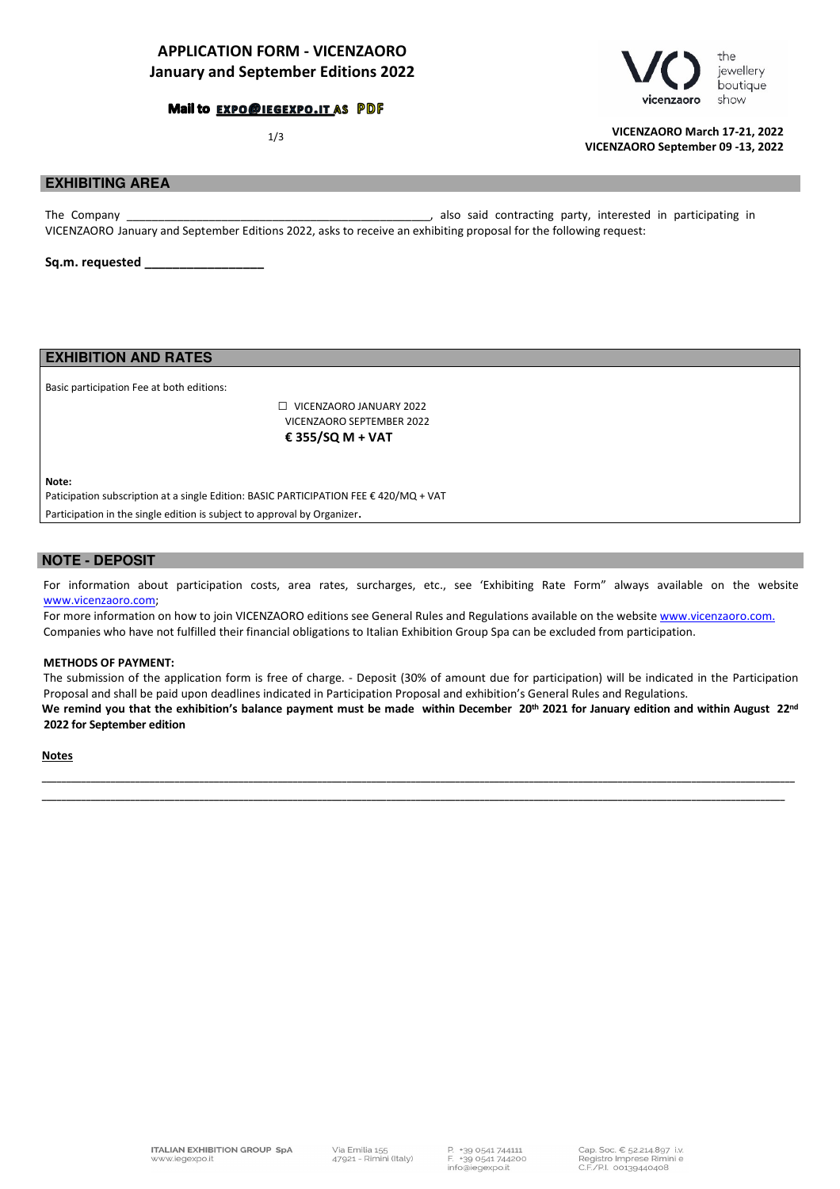## APPLICATION FORM - VICENZAORO January and September Editions 2022

### Mail to EXPO@IEGEXPO.IT AS PDF





1/3 VICENZAORO March 17-21, 2022 VICENZAORO September 09 -13, 2022

## **EXHIBITING AREA**

The Company The Company and the Company and Company and Contracting party, interested in participating in VICENZAORO January and September Editions 2022, asks to receive an exhibiting proposal for the following request:

Sq.m. requested

**EXHIBITION AND RATES**

Basic participation Fee at both editions:

 □ VICENZAORO JANUARY 2022 VICENZAORO SEPTEMBER 2022 € 355/SQ M + VAT

Note:

Paticipation subscription at a single Edition: BASIC PARTICIPATION FEE € 420/MQ + VAT

Participation in the single edition is subject to approval by Organizer.

### **NOTE - DEPOSIT**

For information about participation costs, area rates, surcharges, etc., see 'Exhibiting Rate Form" always available on the website www.vicenzaoro.com;

For more information on how to join VICENZAORO editions see General Rules and Regulations available on the website www.vicenzaoro.com. Companies who have not fulfilled their financial obligations to Italian Exhibition Group Spa can be excluded from participation.

#### METHODS OF PAYMENT:

The submission of the application form is free of charge. - Deposit (30% of amount due for participation) will be indicated in the Participation Proposal and shall be paid upon deadlines indicated in Participation Proposal and exhibition's General Rules and Regulations.

We remind you that the exhibition's balance payment must be made within December 20<sup>th</sup> 2021 for January edition and within August 22<sup>nd</sup> 2022 for September edition

\_\_\_\_\_\_\_\_\_\_\_\_\_\_\_\_\_\_\_\_\_\_\_\_\_\_\_\_\_\_\_\_\_\_\_\_\_\_\_\_\_\_\_\_\_\_\_\_\_\_\_\_\_\_\_\_\_\_\_\_\_\_\_\_\_\_\_\_\_\_\_\_\_\_\_\_\_\_\_\_\_\_\_\_\_\_\_\_\_\_\_\_\_\_\_\_\_\_\_\_\_\_\_\_\_\_\_\_\_\_\_\_\_\_\_\_\_\_\_\_\_\_\_\_\_\_\_\_\_\_\_\_\_\_\_\_\_\_\_\_\_\_\_\_\_\_\_\_\_\_\_\_\_ \_\_\_\_\_\_\_\_\_\_\_\_\_\_\_\_\_\_\_\_\_\_\_\_\_\_\_\_\_\_\_\_\_\_\_\_\_\_\_\_\_\_\_\_\_\_\_\_\_\_\_\_\_\_\_\_\_\_\_\_\_\_\_\_\_\_\_\_\_\_\_\_\_\_\_\_\_\_\_\_\_\_\_\_\_\_\_\_\_\_\_\_\_\_\_\_\_\_\_\_\_\_\_\_\_\_\_\_\_\_\_\_\_\_\_\_\_\_\_\_\_\_\_\_\_\_\_\_\_\_\_\_\_\_\_\_\_\_\_\_\_\_\_\_\_\_\_\_\_\_\_

#### **Notes**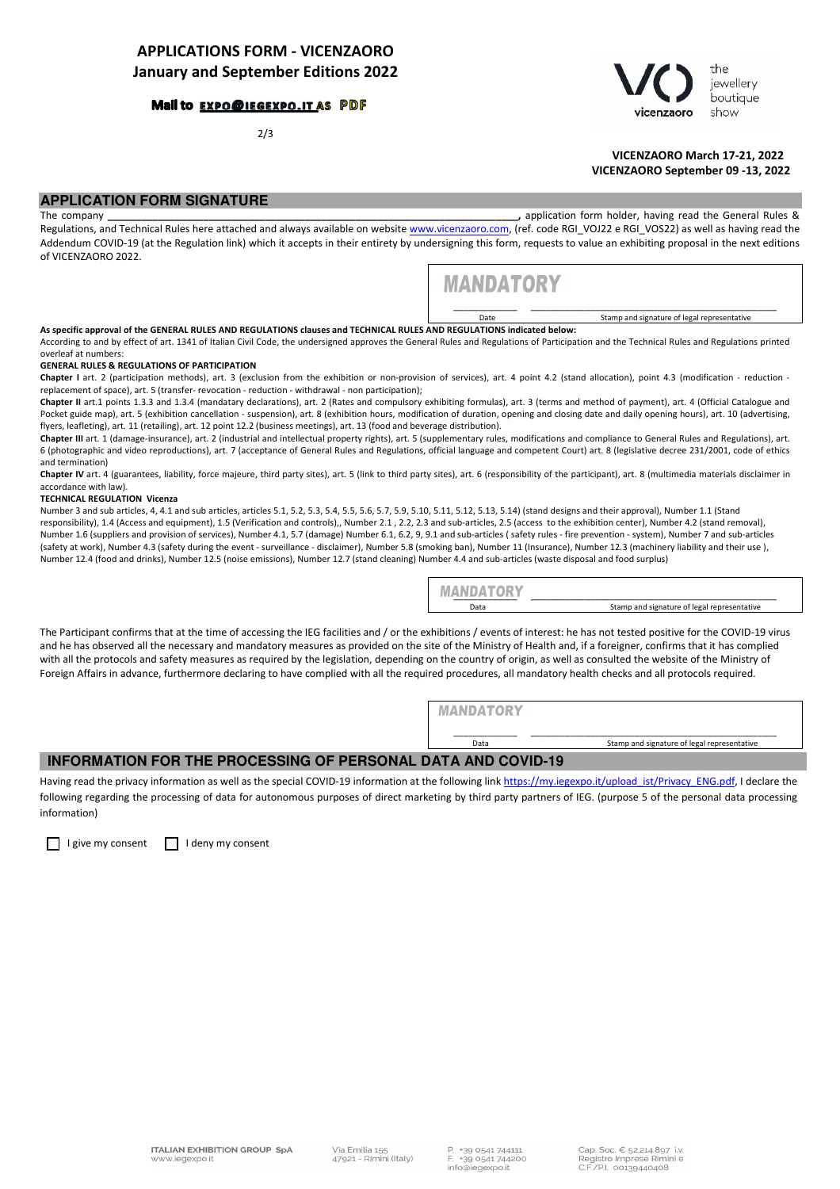### Mail to EXPO@IEGEXPO.IT AS PDF

2/3



 VICENZAORO March 17-21, 2022 VICENZAORO September 09 -13, 2022

## **APPLICATION FORM SIGNATURE**

The company \_\_\_\_\_\_\_\_\_\_\_\_\_\_\_\_\_\_\_\_\_\_\_\_\_\_\_\_\_\_\_\_\_\_\_\_\_\_\_\_\_\_\_\_\_\_\_\_\_\_\_\_\_\_\_\_\_\_\_\_\_\_\_\_\_\_\_\_\_\_\_\_\_, application form holder, having read the General Rules & Regulations, and Technical Rules here attached and always available on website www.vicenzaoro.com, (ref. code RGI\_VOJ22 e RGI\_VOS22) as well as having read the Addendum COVID-19 (at the Regulation link) which it accepts in their entirety by undersigning this form, requests to value an exhibiting proposal in the next editions of VICENZAORO 2022.



\_\_\_\_\_\_\_\_\_\_\_\_\_ \_\_\_\_\_\_\_\_\_\_\_\_\_\_\_\_\_\_\_\_\_\_\_\_\_\_\_\_\_\_\_\_\_\_\_\_\_\_\_\_\_\_\_\_\_\_\_\_\_\_ Date Stamp and signature of legal representative

As specific approval of the GENERAL RULES AND REGULATIONS clauses and TECHNICAL RULES AND REGULATIONS indicated below:

According to and by effect of art. 1341 of Italian Civil Code, the undersigned approves the General Rules and Regulations of Participation and the Technical Rules and Regulations printed overleaf at numbers:

#### GENERAL RULES & REGULATIONS OF PARTICIPATION

Chapter I art. 2 (participation methods), art. 3 (exclusion from the exhibition or non-provision of services), art. 4 point 4.2 (stand allocation), point 4.3 (modification - reduction replacement of space), art. 5 (transfer- revocation - reduction - withdrawal - non participation);

Chapter II art.1 points 1.3.3 and 1.3.4 (mandatary declarations), art. 2 (Rates and compulsory exhibiting formulas), art. 3 (terms and method of payment), art. 4 (Official Catalogue and Pocket guide map), art. 5 (exhibition cancellation - suspension), art. 8 (exhibition hours, modification of duration, opening and closing date and daily opening hours), art. 10 (advertising, flyers, leafleting), art. 11 (retailing), art. 12 point 12.2 (business meetings), art. 13 (food and beverage distribution).

Chapter III art. 1 (damage-insurance), art. 2 (industrial and intellectual property rights), art. 5 (supplementary rules, modifications and compliance to General Rules and Regulations), art. 6 (photographic and video reproductions), art. 7 (acceptance of General Rules and Regulations, official language and competent Court) art. 8 (legislative decree 231/2001, code of ethics and termination)

Chapter IV art. 4 (guarantees, liability, force majeure, third party sites), art. 5 (link to third party sites), art. 6 (responsibility of the participant), art. 8 (multimedia materials disclaimer in accordance with law).

#### TECHNICAL REGULATION Vicenza

Number 3 and sub articles, 4, 4.1 and sub articles, articles 5.1, 5.2, 5.3, 5.4, 5.5, 5.6, 5.7, 5.9, 5.10, 5.11, 5.12, 5.13, 5.14) (stand designs and their approval), Number 1.1 (Stand responsibility), 1.4 (Access and equipment), 1.5 (Verification and controls),, Number 2.1 , 2.2, 2.3 and sub-articles, 2.5 (access to the exhibition center), Number 4.2 (stand removal), Number 1.6 (suppliers and provision of services), Number 4.1, 5.7 (damage) Number 6.1, 6.2, 9, 9.1 and sub-articles ( safety rules - fire prevention - system), Number 7 and sub-articles (safety at work), Number 4.3 (safety during the event - surveillance - disclaimer), Number 5.8 (smoking ban), Number 11 (Insurance), Number 12.3 (machinery liability and their use ), Number 12.4 (food and drinks), Number 12.5 (noise emissions), Number 12.7 (stand cleaning) Number 4.4 and sub-articles (waste disposal and food surplus)

| MANDATORY |                                             |
|-----------|---------------------------------------------|
| Data      | Stamp and signature of legal representative |

The Participant confirms that at the time of accessing the IEG facilities and / or the exhibitions / events of interest: he has not tested positive for the COVID-19 virus and he has observed all the necessary and mandatory measures as provided on the site of the Ministry of Health and, if a foreigner, confirms that it has complied with all the protocols and safety measures as required by the legislation, depending on the country of origin, as well as consulted the website of the Ministry of Foreign Affairs in advance, furthermore declaring to have complied with all the required procedures, all mandatory health checks and all protocols required.

> **MANDATORY** \_\_\_\_\_\_\_\_\_\_\_\_\_ \_\_\_\_\_\_\_\_\_\_\_\_\_\_\_\_\_\_\_\_\_\_\_\_\_\_\_\_\_\_\_\_\_\_\_\_\_\_\_\_\_\_\_\_\_\_\_\_\_\_ Data Stamp and signature of legal representative

## **INFORMATION FOR THE PROCESSING OF PERSONAL DATA AND COVID-19**

Having read the privacy information as well as the special COVID-19 information at the following link https://my.iegexpo.it/upload ist/Privacy\_ENG.pdf, I declare the following regarding the processing of data for autonomous purposes of direct marketing by third party partners of IEG. (purpose 5 of the personal data processing information)

 $\Box$  I give my consent  $\Box$  I deny my consent

**ITALIAN EXHIBITION GROUP SpA** www.jeaexpo.jt